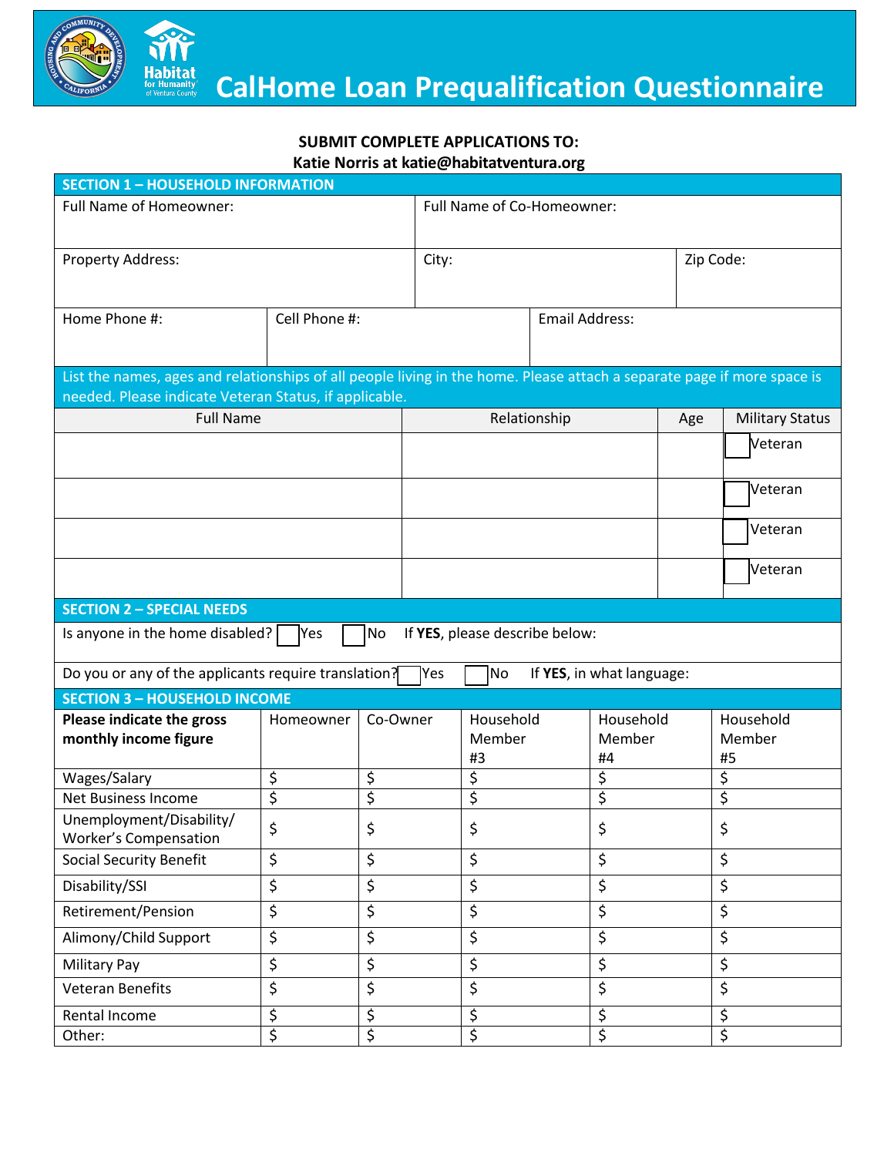

## **SUBMIT COMPLETE APPLICATIONS TO:**

**Katie Norris at katie@habitatventura.org**

| <b>SECTION 1 - HOUSEHOLD INFORMATION</b>                                                                                                                                          |               |                       |                            |                           |                        |                           |     |                           |  |
|-----------------------------------------------------------------------------------------------------------------------------------------------------------------------------------|---------------|-----------------------|----------------------------|---------------------------|------------------------|---------------------------|-----|---------------------------|--|
| <b>Full Name of Homeowner:</b>                                                                                                                                                    |               |                       | Full Name of Co-Homeowner: |                           |                        |                           |     |                           |  |
| Property Address:                                                                                                                                                                 |               |                       | City:                      |                           |                        |                           |     | Zip Code:                 |  |
| Home Phone #:                                                                                                                                                                     | Cell Phone #: | <b>Email Address:</b> |                            |                           |                        |                           |     |                           |  |
| List the names, ages and relationships of all people living in the home. Please attach a separate page if more space is<br>needed. Please indicate Veteran Status, if applicable. |               |                       |                            |                           |                        |                           |     |                           |  |
| <b>Full Name</b>                                                                                                                                                                  |               |                       | Relationship               |                           |                        |                           | Age | <b>Military Status</b>    |  |
|                                                                                                                                                                                   |               |                       |                            |                           |                        |                           |     | Veteran                   |  |
|                                                                                                                                                                                   |               |                       |                            |                           |                        |                           |     | Veteran                   |  |
|                                                                                                                                                                                   |               |                       |                            |                           |                        |                           |     | Veteran                   |  |
|                                                                                                                                                                                   |               |                       |                            |                           |                        |                           |     | Veteran                   |  |
| <b>SECTION 2 - SPECIAL NEEDS</b>                                                                                                                                                  |               |                       |                            |                           |                        |                           |     |                           |  |
| No<br>If YES, please describe below:<br>Is anyone in the home disabled?<br>Yes                                                                                                    |               |                       |                            |                           |                        |                           |     |                           |  |
| Do you or any of the applicants require translation?<br>No<br>If YES, in what language:<br> Yes                                                                                   |               |                       |                            |                           |                        |                           |     |                           |  |
| <b>SECTION 3 - HOUSEHOLD INCOME</b>                                                                                                                                               |               |                       |                            |                           |                        |                           |     |                           |  |
| Please indicate the gross<br>monthly income figure                                                                                                                                | Homeowner     | Co-Owner              |                            | Household<br>Member<br>#3 |                        | Household<br>Member<br>#4 |     | Household<br>Member<br>#5 |  |
| Wages/Salary                                                                                                                                                                      | \$            | \$                    |                            | \$                        |                        | \$                        |     | \$                        |  |
| <b>Net Business Income</b>                                                                                                                                                        | \$            | \$                    |                            | \$                        | \$                     |                           |     | \$                        |  |
| Unemployment/Disability/<br>Worker's Compensation                                                                                                                                 | Ś.            | \$                    |                            | \$                        |                        | \$                        |     | \$                        |  |
| <b>Social Security Benefit</b>                                                                                                                                                    | \$            | \$                    |                            | \$                        |                        | \$                        |     | \$                        |  |
| Disability/SSI                                                                                                                                                                    | \$            | \$                    |                            | \$                        |                        | \$                        |     | \$                        |  |
| Retirement/Pension                                                                                                                                                                | \$            | \$                    |                            | \$                        |                        | \$                        |     | \$                        |  |
| Alimony/Child Support                                                                                                                                                             | \$            | \$                    |                            | \$                        |                        | \$                        |     | \$                        |  |
| <b>Military Pay</b>                                                                                                                                                               | \$            | \$                    |                            | \$                        | \$                     |                           |     | \$                        |  |
| <b>Veteran Benefits</b>                                                                                                                                                           | \$            | \$                    |                            | \$                        | \$                     |                           |     | \$                        |  |
| Rental Income                                                                                                                                                                     | \$            | \$                    |                            | \$                        | \$                     |                           |     | \$                        |  |
| Other:                                                                                                                                                                            | \$            | \$                    |                            |                           | $\overline{\xi}$<br>\$ |                           |     | $\overline{\xi}$          |  |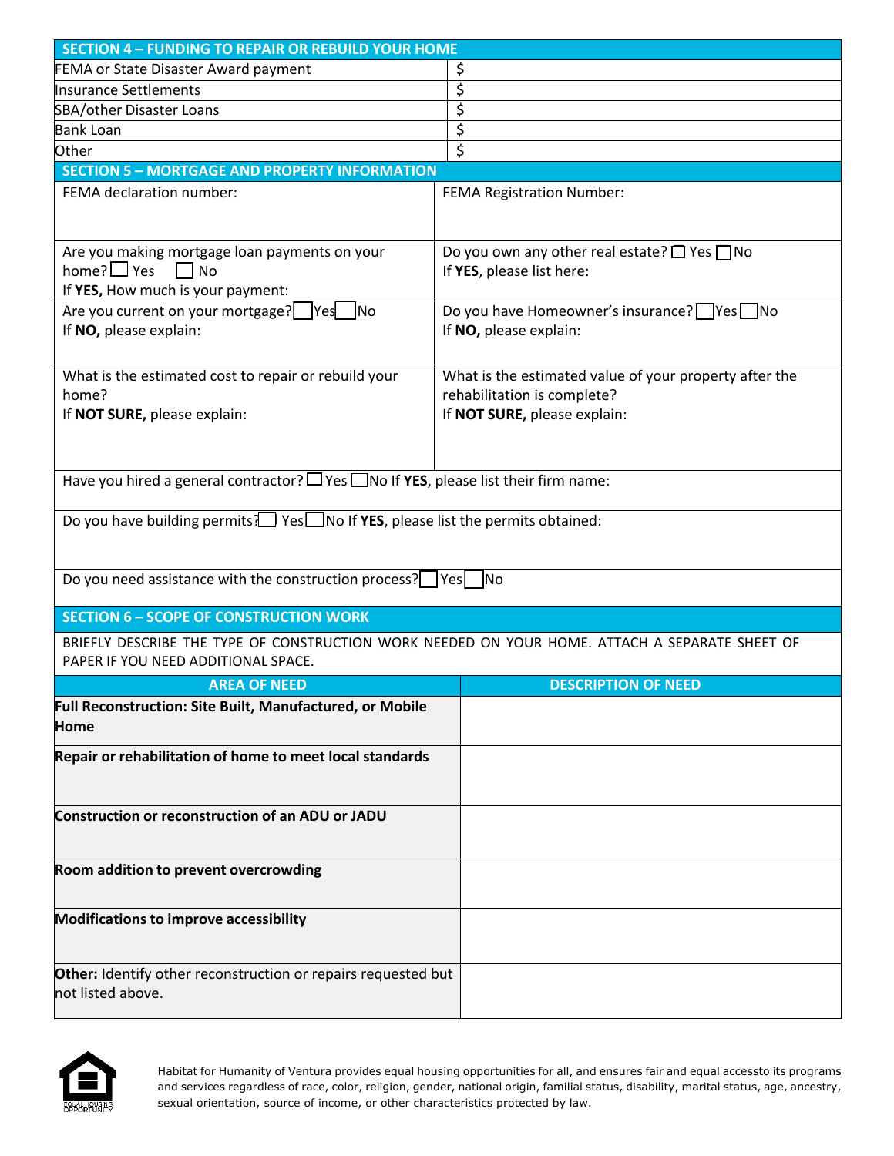| <b>SECTION 4 - FUNDING TO REPAIR OR REBUILD YOUR HOME</b>                                      |                                                        |  |  |  |  |  |
|------------------------------------------------------------------------------------------------|--------------------------------------------------------|--|--|--|--|--|
| <b>FEMA or State Disaster Award payment</b>                                                    | \$                                                     |  |  |  |  |  |
| <b>Insurance Settlements</b>                                                                   | \$                                                     |  |  |  |  |  |
| SBA/other Disaster Loans                                                                       | \$                                                     |  |  |  |  |  |
| <b>Bank Loan</b>                                                                               | $\overline{\varsigma}$                                 |  |  |  |  |  |
| Other                                                                                          | \$                                                     |  |  |  |  |  |
| <b>SECTION 5 - MORTGAGE AND PROPERTY INFORMATION</b>                                           |                                                        |  |  |  |  |  |
| FEMA declaration number:                                                                       | <b>FEMA Registration Number:</b>                       |  |  |  |  |  |
|                                                                                                |                                                        |  |  |  |  |  |
|                                                                                                |                                                        |  |  |  |  |  |
| Are you making mortgage loan payments on your                                                  | Do you own any other real estate? $\Box$ Yes $\Box$ No |  |  |  |  |  |
| home? $\Box$ Yes<br>$\Box$ No                                                                  | If YES, please list here:                              |  |  |  |  |  |
| If YES, How much is your payment:                                                              |                                                        |  |  |  |  |  |
| <b>No</b>                                                                                      |                                                        |  |  |  |  |  |
| Are you current on your mortgage?<br> Yes                                                      | Do you have Homeowner's insurance? Yes No              |  |  |  |  |  |
| If NO, please explain:                                                                         | If NO, please explain:                                 |  |  |  |  |  |
|                                                                                                |                                                        |  |  |  |  |  |
| What is the estimated cost to repair or rebuild your                                           | What is the estimated value of your property after the |  |  |  |  |  |
| home?                                                                                          | rehabilitation is complete?                            |  |  |  |  |  |
| If NOT SURE, please explain:                                                                   | If NOT SURE, please explain:                           |  |  |  |  |  |
|                                                                                                |                                                        |  |  |  |  |  |
|                                                                                                |                                                        |  |  |  |  |  |
| Have you hired a general contractor? $\Box$ Yes $\Box$ No If YES, please list their firm name: |                                                        |  |  |  |  |  |
|                                                                                                |                                                        |  |  |  |  |  |
|                                                                                                |                                                        |  |  |  |  |  |
| Do you have building permits: $\Box$ Yes $\Box$ No If YES, please list the permits obtained:   |                                                        |  |  |  |  |  |
|                                                                                                |                                                        |  |  |  |  |  |
|                                                                                                |                                                        |  |  |  |  |  |
| Do you need assistance with the construction process?   Yes<br><b>No</b>                       |                                                        |  |  |  |  |  |
| <b>SECTION 6 - SCOPE OF CONSTRUCTION WORK</b>                                                  |                                                        |  |  |  |  |  |
|                                                                                                |                                                        |  |  |  |  |  |
| BRIEFLY DESCRIBE THE TYPE OF CONSTRUCTION WORK NEEDED ON YOUR HOME. ATTACH A SEPARATE SHEET OF |                                                        |  |  |  |  |  |
| PAPER IF YOU NEED ADDITIONAL SPACE.                                                            |                                                        |  |  |  |  |  |
| <b>AREA OF NEED</b>                                                                            | <b>DESCRIPTION OF NEED</b>                             |  |  |  |  |  |
| <b>Full Reconstruction: Site Built, Manufactured, or Mobile</b>                                |                                                        |  |  |  |  |  |
| Home                                                                                           |                                                        |  |  |  |  |  |
|                                                                                                |                                                        |  |  |  |  |  |
| Repair or rehabilitation of home to meet local standards                                       |                                                        |  |  |  |  |  |
|                                                                                                |                                                        |  |  |  |  |  |
|                                                                                                |                                                        |  |  |  |  |  |
| Construction or reconstruction of an ADU or JADU                                               |                                                        |  |  |  |  |  |
|                                                                                                |                                                        |  |  |  |  |  |
|                                                                                                |                                                        |  |  |  |  |  |
| Room addition to prevent overcrowding                                                          |                                                        |  |  |  |  |  |
|                                                                                                |                                                        |  |  |  |  |  |
| Modifications to improve accessibility                                                         |                                                        |  |  |  |  |  |
|                                                                                                |                                                        |  |  |  |  |  |
|                                                                                                |                                                        |  |  |  |  |  |
| Other: Identify other reconstruction or repairs requested but                                  |                                                        |  |  |  |  |  |
| not listed above.                                                                              |                                                        |  |  |  |  |  |
|                                                                                                |                                                        |  |  |  |  |  |



Habitat for Humanity of Ventura provides equal housing opportunities for all, and ensures fair and equal accessto its programs and services regardless of race, color, religion, gender, national origin, familial status, disability, marital status, age, ancestry, sexual orientation, source of income, or other characteristics protected by law.